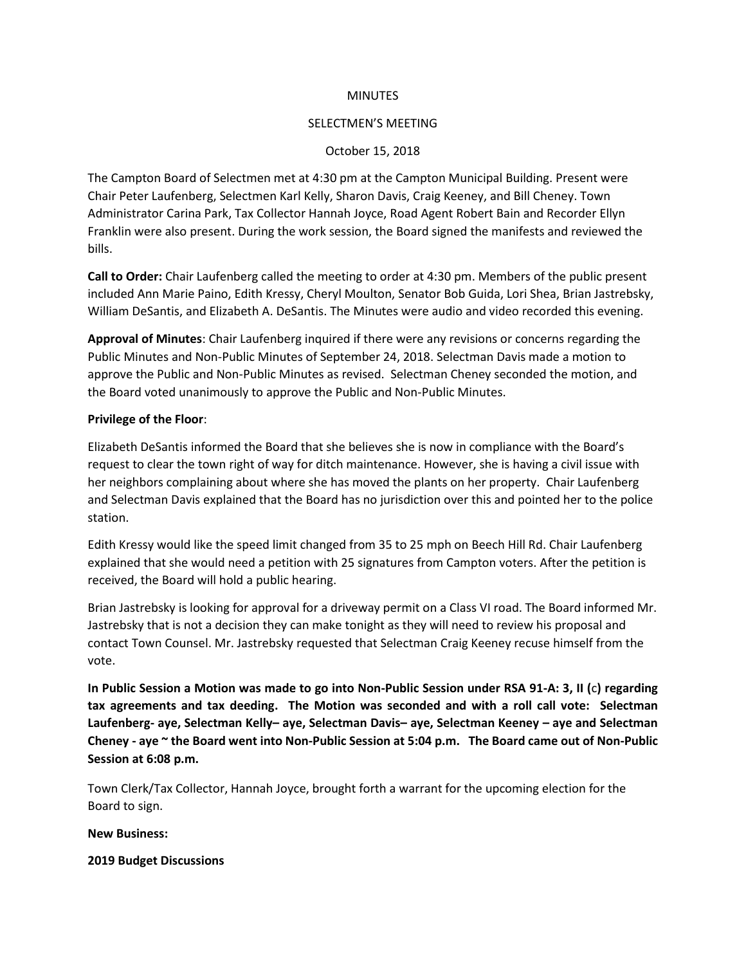#### **MINUTES**

#### SELECTMEN'S MEETING

#### October 15, 2018

The Campton Board of Selectmen met at 4:30 pm at the Campton Municipal Building. Present were Chair Peter Laufenberg, Selectmen Karl Kelly, Sharon Davis, Craig Keeney, and Bill Cheney. Town Administrator Carina Park, Tax Collector Hannah Joyce, Road Agent Robert Bain and Recorder Ellyn Franklin were also present. During the work session, the Board signed the manifests and reviewed the bills.

**Call to Order:** Chair Laufenberg called the meeting to order at 4:30 pm. Members of the public present included Ann Marie Paino, Edith Kressy, Cheryl Moulton, Senator Bob Guida, Lori Shea, Brian Jastrebsky, William DeSantis, and Elizabeth A. DeSantis. The Minutes were audio and video recorded this evening.

**Approval of Minutes**: Chair Laufenberg inquired if there were any revisions or concerns regarding the Public Minutes and Non-Public Minutes of September 24, 2018. Selectman Davis made a motion to approve the Public and Non-Public Minutes as revised. Selectman Cheney seconded the motion, and the Board voted unanimously to approve the Public and Non-Public Minutes.

### **Privilege of the Floor**:

Elizabeth DeSantis informed the Board that she believes she is now in compliance with the Board's request to clear the town right of way for ditch maintenance. However, she is having a civil issue with her neighbors complaining about where she has moved the plants on her property. Chair Laufenberg and Selectman Davis explained that the Board has no jurisdiction over this and pointed her to the police station.

Edith Kressy would like the speed limit changed from 35 to 25 mph on Beech Hill Rd. Chair Laufenberg explained that she would need a petition with 25 signatures from Campton voters. After the petition is received, the Board will hold a public hearing.

Brian Jastrebsky is looking for approval for a driveway permit on a Class VI road. The Board informed Mr. Jastrebsky that is not a decision they can make tonight as they will need to review his proposal and contact Town Counsel. Mr. Jastrebsky requested that Selectman Craig Keeney recuse himself from the vote.

**In Public Session a Motion was made to go into Non-Public Session under RSA 91-A: 3, II (**c**) regarding tax agreements and tax deeding. The Motion was seconded and with a roll call vote: Selectman Laufenberg- aye, Selectman Kelly– aye, Selectman Davis– aye, Selectman Keeney – aye and Selectman Cheney - aye ~ the Board went into Non-Public Session at 5:04 p.m. The Board came out of Non-Public Session at 6:08 p.m.**

Town Clerk/Tax Collector, Hannah Joyce, brought forth a warrant for the upcoming election for the Board to sign.

### **New Business:**

### **2019 Budget Discussions**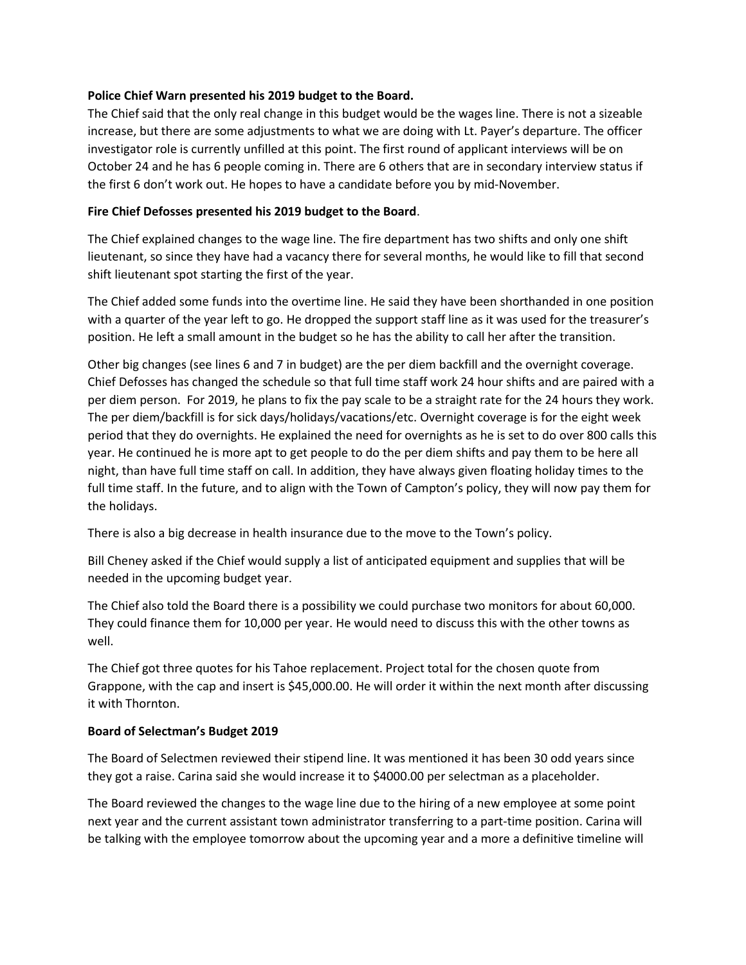## **Police Chief Warn presented his 2019 budget to the Board.**

The Chief said that the only real change in this budget would be the wages line. There is not a sizeable increase, but there are some adjustments to what we are doing with Lt. Payer's departure. The officer investigator role is currently unfilled at this point. The first round of applicant interviews will be on October 24 and he has 6 people coming in. There are 6 others that are in secondary interview status if the first 6 don't work out. He hopes to have a candidate before you by mid-November.

# **Fire Chief Defosses presented his 2019 budget to the Board**.

The Chief explained changes to the wage line. The fire department has two shifts and only one shift lieutenant, so since they have had a vacancy there for several months, he would like to fill that second shift lieutenant spot starting the first of the year.

The Chief added some funds into the overtime line. He said they have been shorthanded in one position with a quarter of the year left to go. He dropped the support staff line as it was used for the treasurer's position. He left a small amount in the budget so he has the ability to call her after the transition.

Other big changes (see lines 6 and 7 in budget) are the per diem backfill and the overnight coverage. Chief Defosses has changed the schedule so that full time staff work 24 hour shifts and are paired with a per diem person. For 2019, he plans to fix the pay scale to be a straight rate for the 24 hours they work. The per diem/backfill is for sick days/holidays/vacations/etc. Overnight coverage is for the eight week period that they do overnights. He explained the need for overnights as he is set to do over 800 calls this year. He continued he is more apt to get people to do the per diem shifts and pay them to be here all night, than have full time staff on call. In addition, they have always given floating holiday times to the full time staff. In the future, and to align with the Town of Campton's policy, they will now pay them for the holidays.

There is also a big decrease in health insurance due to the move to the Town's policy.

Bill Cheney asked if the Chief would supply a list of anticipated equipment and supplies that will be needed in the upcoming budget year.

The Chief also told the Board there is a possibility we could purchase two monitors for about 60,000. They could finance them for 10,000 per year. He would need to discuss this with the other towns as well.

The Chief got three quotes for his Tahoe replacement. Project total for the chosen quote from Grappone, with the cap and insert is \$45,000.00. He will order it within the next month after discussing it with Thornton.

### **Board of Selectman's Budget 2019**

The Board of Selectmen reviewed their stipend line. It was mentioned it has been 30 odd years since they got a raise. Carina said she would increase it to \$4000.00 per selectman as a placeholder.

The Board reviewed the changes to the wage line due to the hiring of a new employee at some point next year and the current assistant town administrator transferring to a part-time position. Carina will be talking with the employee tomorrow about the upcoming year and a more a definitive timeline will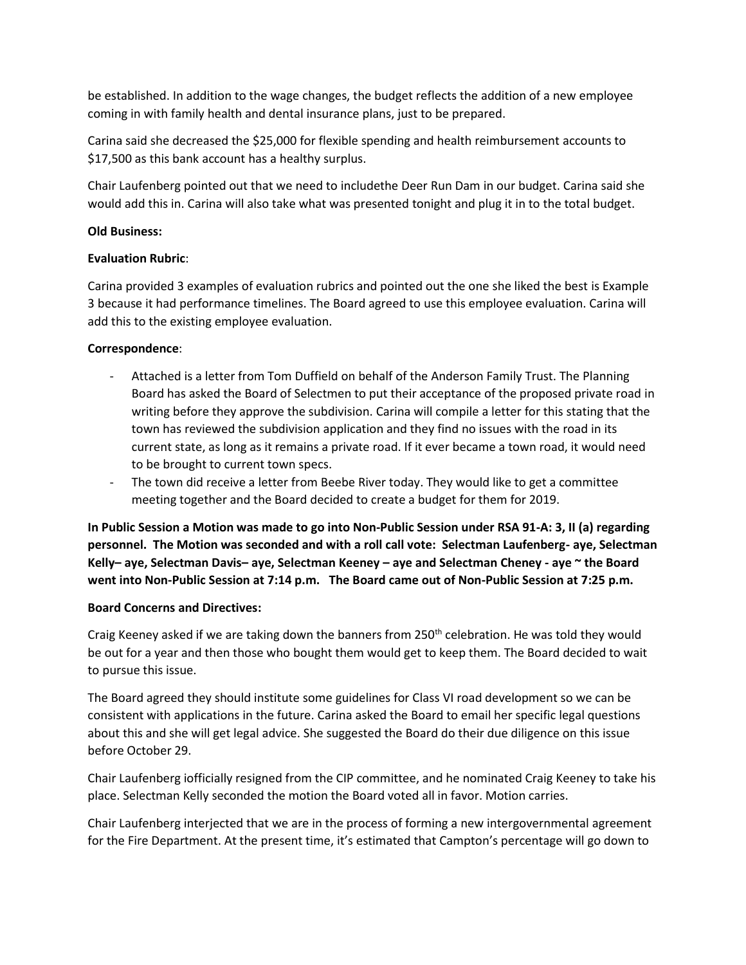be established. In addition to the wage changes, the budget reflects the addition of a new employee coming in with family health and dental insurance plans, just to be prepared.

Carina said she decreased the \$25,000 for flexible spending and health reimbursement accounts to \$17,500 as this bank account has a healthy surplus.

Chair Laufenberg pointed out that we need to includethe Deer Run Dam in our budget. Carina said she would add this in. Carina will also take what was presented tonight and plug it in to the total budget.

## **Old Business:**

### **Evaluation Rubric**:

Carina provided 3 examples of evaluation rubrics and pointed out the one she liked the best is Example 3 because it had performance timelines. The Board agreed to use this employee evaluation. Carina will add this to the existing employee evaluation.

### **Correspondence**:

- Attached is a letter from Tom Duffield on behalf of the Anderson Family Trust. The Planning Board has asked the Board of Selectmen to put their acceptance of the proposed private road in writing before they approve the subdivision. Carina will compile a letter for this stating that the town has reviewed the subdivision application and they find no issues with the road in its current state, as long as it remains a private road. If it ever became a town road, it would need to be brought to current town specs.
- The town did receive a letter from Beebe River today. They would like to get a committee meeting together and the Board decided to create a budget for them for 2019.

**In Public Session a Motion was made to go into Non-Public Session under RSA 91-A: 3, II (a) regarding personnel. The Motion was seconded and with a roll call vote: Selectman Laufenberg- aye, Selectman Kelly– aye, Selectman Davis– aye, Selectman Keeney – aye and Selectman Cheney - aye ~ the Board went into Non-Public Session at 7:14 p.m. The Board came out of Non-Public Session at 7:25 p.m.**

### **Board Concerns and Directives:**

Craig Keeney asked if we are taking down the banners from 250<sup>th</sup> celebration. He was told they would be out for a year and then those who bought them would get to keep them. The Board decided to wait to pursue this issue.

The Board agreed they should institute some guidelines for Class VI road development so we can be consistent with applications in the future. Carina asked the Board to email her specific legal questions about this and she will get legal advice. She suggested the Board do their due diligence on this issue before October 29.

Chair Laufenberg iofficially resigned from the CIP committee, and he nominated Craig Keeney to take his place. Selectman Kelly seconded the motion the Board voted all in favor. Motion carries.

Chair Laufenberg interjected that we are in the process of forming a new intergovernmental agreement for the Fire Department. At the present time, it's estimated that Campton's percentage will go down to